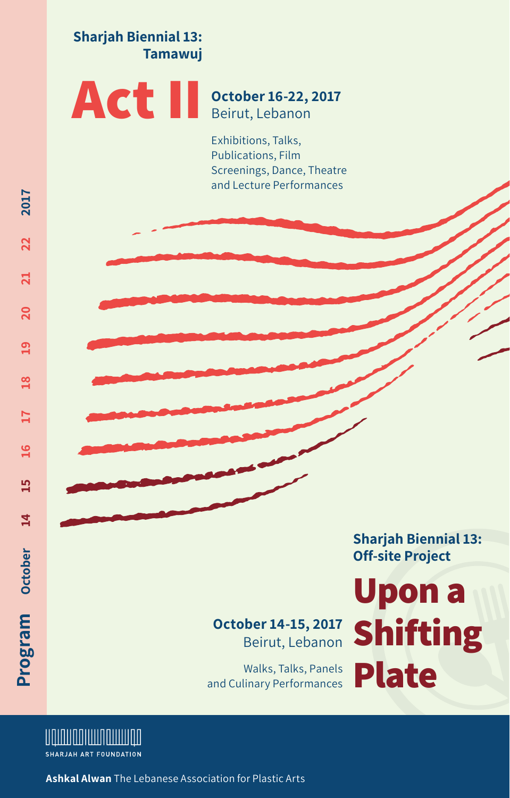**Sharjah Biennial 13: Tamawuj**

#### **Act II October 16-22, 2017** Beirut, Lebanon

Exhibitions, Talks, Publications, Film Screenings, Dance, Theatre and Lecture Performances

> **Sharjah Biennial 13: Off-site Project**

#### **October 14-15, 2017** Beirut, Lebanon

Walks, Talks, Panels and Culinary Performances

# **Upon a Shifting Plate**



**Ashkal Alwan** The Lebanese Association for Plastic Arts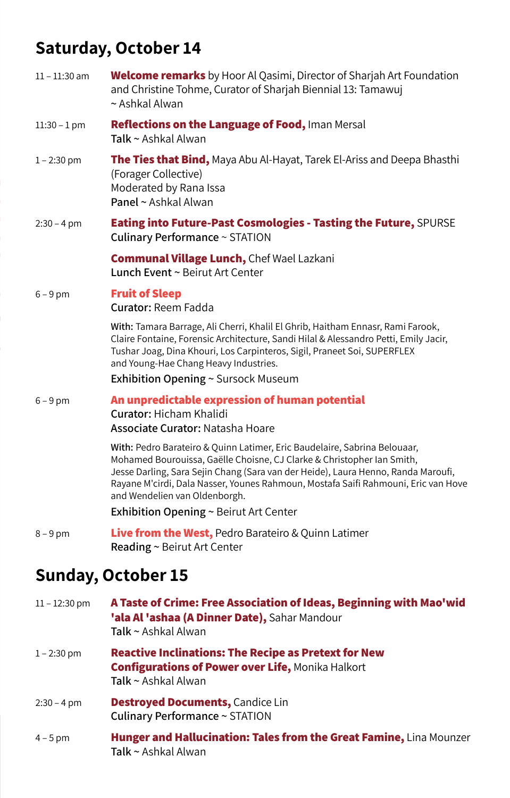## **Saturday, October 14**

| $11 - 11:30$ am | <b>Welcome remarks</b> by Hoor Al Qasimi, Director of Sharjah Art Foundation<br>and Christine Tohme, Curator of Sharjah Biennial 13: Tamawuj<br>$\sim$ Ashkal Alwan                                                                                                                                                                                             |
|-----------------|-----------------------------------------------------------------------------------------------------------------------------------------------------------------------------------------------------------------------------------------------------------------------------------------------------------------------------------------------------------------|
| $11:30 - 1$ pm  | Reflections on the Language of Food, Iman Mersal<br>Talk ~ Ashkal Alwan                                                                                                                                                                                                                                                                                         |
| $1 - 2:30$ pm   | The Ties that Bind, Maya Abu Al-Hayat, Tarek El-Ariss and Deepa Bhasthi<br>(Forager Collective)<br>Moderated by Rana Issa<br>Panel ~ Ashkal Alwan                                                                                                                                                                                                               |
| $2:30 - 4$ pm   | Eating into Future-Past Cosmologies - Tasting the Future, SPURSE<br>Culinary Performance ~ STATION                                                                                                                                                                                                                                                              |
|                 | <b>Communal Village Lunch, Chef Wael Lazkani</b><br>Lunch Event ~ Beirut Art Center                                                                                                                                                                                                                                                                             |
| $6 - 9$ pm      | <b>Fruit of Sleep</b><br>Curator: Reem Fadda                                                                                                                                                                                                                                                                                                                    |
|                 | With: Tamara Barrage, Ali Cherri, Khalil El Ghrib, Haitham Ennasr, Rami Farook,<br>Claire Fontaine, Forensic Architecture, Sandi Hilal & Alessandro Petti, Emily Jacir,<br>Tushar Joag, Dina Khouri, Los Carpinteros, Sigil, Praneet Soi, SUPERFLEX<br>and Young-Hae Chang Heavy Industries.                                                                    |
|                 | Exhibition Opening ~ Sursock Museum                                                                                                                                                                                                                                                                                                                             |
| $6 - 9$ pm      | An unpredictable expression of human potential<br>Curator: Hicham Khalidi<br>Associate Curator: Natasha Hoare                                                                                                                                                                                                                                                   |
|                 | With: Pedro Barateiro & Quinn Latimer, Eric Baudelaire, Sabrina Belouaar,<br>Mohamed Bourouissa, Gaëlle Choisne, CJ Clarke & Christopher Ian Smith,<br>Jesse Darling, Sara Sejin Chang (Sara van der Heide), Laura Henno, Randa Maroufi,<br>Rayane M'cirdi, Dala Nasser, Younes Rahmoun, Mostafa Saifi Rahmouni, Eric van Hove<br>and Wendelien van Oldenborgh. |
|                 | <b>Exhibition Opening <math>\sim</math> Beirut Art Center</b>                                                                                                                                                                                                                                                                                                   |
| $8 - 9$ pm      | <b>Live from the West, Pedro Barateiro &amp; Quinn Latimer</b><br>Reading ~ Beirut Art Center                                                                                                                                                                                                                                                                   |
|                 | <b>Sunday, October 15</b>                                                                                                                                                                                                                                                                                                                                       |
| $11 - 12:30$ pm | A Taste of Crime: Free Association of Ideas, Beginning with Mao'wid<br>'ala Al 'ashaa (A Dinner Date), Sahar Mandour<br>Talk ~ Ashkal Alwan                                                                                                                                                                                                                     |
| $1 - 2:30$ pm   | <b>Reactive Inclinations: The Recipe as Pretext for New</b><br><b>Configurations of Power over Life, Monika Halkort</b>                                                                                                                                                                                                                                         |

**Talk ~** Ashkal Alwan

- 2:30 4 pm **Destroyed Documents,** Candice Lin **Culinary Performance ~** STATION
- 4 5 pm  **Hunger and Hallucination: Tales from the Great Famine,** Lina Mounzer **Talk ~** Ashkal Alwan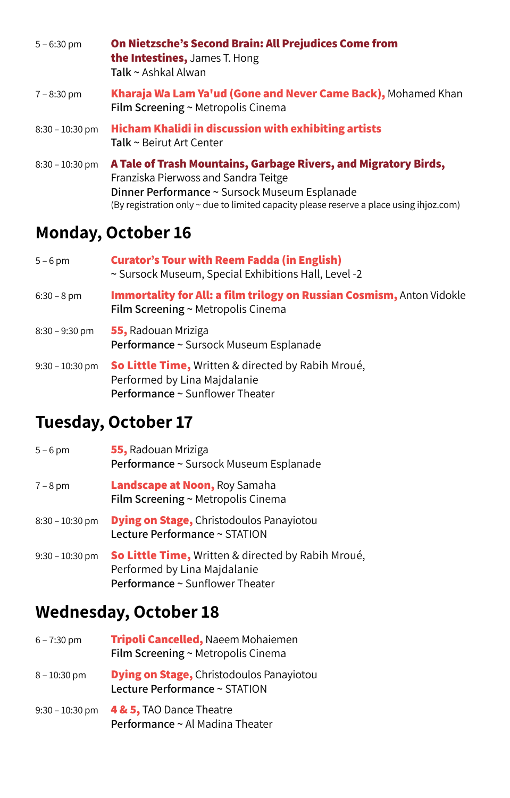| $5 - 6:30$ pm     | On Nietzsche's Second Brain: All Prejudices Come from<br>the Intestines, James T. Hong<br>Talk ~ Ashkal Alwan                                                                                                                                       |  |
|-------------------|-----------------------------------------------------------------------------------------------------------------------------------------------------------------------------------------------------------------------------------------------------|--|
| $7 - 8:30$ pm     | Kharaja Wa Lam Ya'ud (Gone and Never Came Back), Mohamed Khan<br>Film Screening ~ Metropolis Cinema                                                                                                                                                 |  |
| $8:30 - 10:30$ pm | <b>Hicham Khalidi in discussion with exhibiting artists</b><br>Talk ~ Beirut Art Center                                                                                                                                                             |  |
| $8:30 - 10:30$ pm | A Tale of Trash Mountains, Garbage Rivers, and Migratory Birds,<br>Franziska Pierwoss and Sandra Teitge<br>Dinner Performance ~ Sursock Museum Esplanade<br>(By registration only ~ due to limited capacity please reserve a place using ihjoz.com) |  |

## **Monday, October 16**

| $5 - 6$ pm        | <b>Curator's Tour with Reem Fadda (in English)</b><br>~ Sursock Museum, Special Exhibitions Hall, Level -2            |
|-------------------|-----------------------------------------------------------------------------------------------------------------------|
| $6:30 - 8$ pm     | Immortality for All: a film trilogy on Russian Cosmism, Anton Vidokle<br>Film Screening ~ Metropolis Cinema           |
| $8:30 - 9:30$ pm  | 55, Radouan Mriziga<br>Performance ~ Sursock Museum Esplanade                                                         |
| $9:30 - 10:30$ pm | So Little Time, Written & directed by Rabih Mroué,<br>Performed by Lina Majdalanie<br>Performance ~ Sunflower Theater |

## **Tuesday, October 17**

| $5 - 6$ pm        | 55, Radouan Mriziga<br>Performance ~ Sursock Museum Esplanade                      |
|-------------------|------------------------------------------------------------------------------------|
| $7 - 8$ pm        | <b>Landscape at Noon, Roy Samaha</b><br>Film Screening ~ Metropolis Cinema         |
| $8:30 - 10:30$ pm | <b>Dying on Stage, Christodoulos Panayiotou</b><br>Lecture Performance ~ STATION   |
| $9:30 - 10:30$ pm | So Little Time, Written & directed by Rabih Mroué,<br>Performed by Lina Majdalanie |

**Performance ~** Sunflower Theater

## **Wednesday, October 18**

| $6 - 7:30$ pm     | Tripoli Cancelled, Naeem Mohaiemen<br>Film Screening ~ Metropolis Cinema         |
|-------------------|----------------------------------------------------------------------------------|
| $8 - 10:30$ pm    | <b>Dying on Stage, Christodoulos Panayiotou</b><br>Lecture Performance ~ STATION |
| $9:30 - 10:30$ pm | 4 & 5, TAO Dance Theatre<br>Performance ~ Al Madina Theater                      |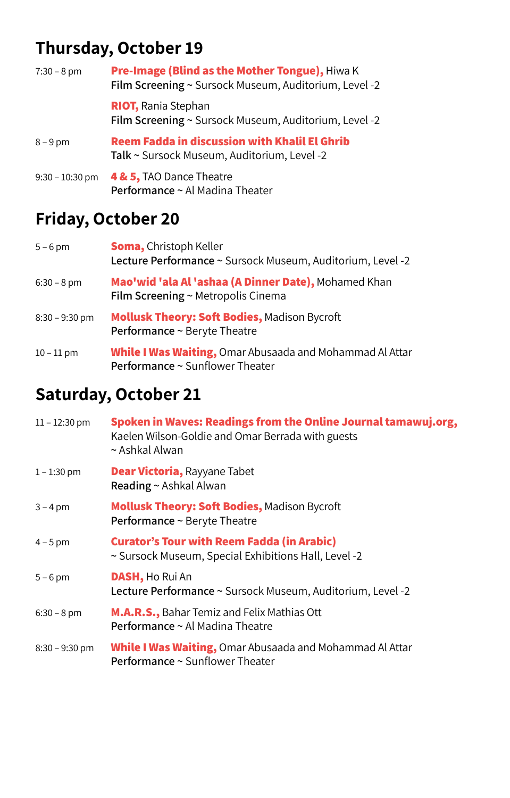# **Thursday, October 19**

| $7:30 - 8$ pm     | Pre-Image (Blind as the Mother Tongue), Hiwa K<br>Film Screening ~ Sursock Museum, Auditorium, Level -2 |  |
|-------------------|---------------------------------------------------------------------------------------------------------|--|
|                   | <b>RIOT, Rania Stephan</b><br>Film Screening ~ Sursock Museum, Auditorium, Level -2                     |  |
| $8 - 9$ pm        | <b>Reem Fadda in discussion with Khalil El Ghrib</b><br>Talk ~ Sursock Museum, Auditorium, Level -2     |  |
| $9:30 - 10:30$ pm | 4 & 5, TAO Dance Theatre<br>Performance ~ Al Madina Theater                                             |  |

## **Friday, October 20**

| $5 - 6$ pm       | <b>Soma, Christoph Keller</b><br>Lecture Performance ~ Sursock Museum, Auditorium, Level -2        |
|------------------|----------------------------------------------------------------------------------------------------|
| $6:30 - 8$ pm    | Mao'wid 'ala Al 'ashaa (A Dinner Date), Mohamed Khan<br>Film Screening ~ Metropolis Cinema         |
| $8:30 - 9:30$ pm | <b>Mollusk Theory: Soft Bodies, Madison Bycroft</b><br>Performance ~ Beryte Theatre                |
| $10 - 11$ pm     | <b>While I Was Waiting, Omar Abusaada and Mohammad Al Attar</b><br>Performance ~ Sunflower Theater |

# **Saturday, October 21**

| $11 - 12:30$ pm  | Spoken in Waves: Readings from the Online Journal tamawuj.org,<br>Kaelen Wilson-Goldie and Omar Berrada with guests<br>$\sim$ Ashkal Alwan |
|------------------|--------------------------------------------------------------------------------------------------------------------------------------------|
| $1 - 1:30$ pm    | <b>Dear Victoria, Rayyane Tabet</b><br>Reading ~ Ashkal Alwan                                                                              |
| $3 - 4$ pm       | <b>Mollusk Theory: Soft Bodies, Madison Bycroft</b><br>Performance ~ Beryte Theatre                                                        |
| $4 - 5$ pm       | <b>Curator's Tour with Reem Fadda (in Arabic)</b><br>~ Sursock Museum, Special Exhibitions Hall, Level -2                                  |
| $5 - 6$ pm       | <b>DASH</b> , Ho Rui An<br>Lecture Performance ~ Sursock Museum, Auditorium, Level -2                                                      |
| $6:30 - 8$ pm    | <b>M.A.R.S., Bahar Temiz and Felix Mathias Ott</b><br>Performance ~ Al Madina Theatre                                                      |
| $8:30 - 9:30$ pm | <b>While I Was Waiting, Omar Abusaada and Mohammad Al Attar</b><br>Performance ~ Sunflower Theater                                         |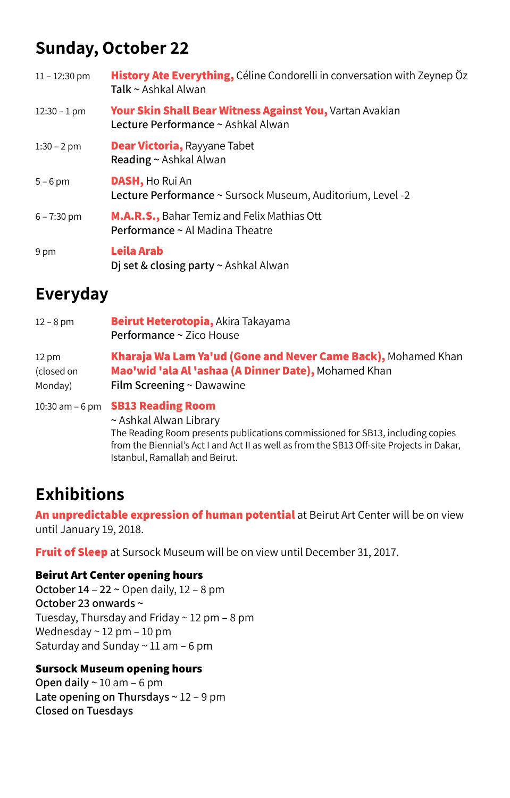# **Sunday, October 22**

| $11 - 12:30$ pm | History Ate Everything, Céline Condorelli in conversation with Zeynep Öz<br>Talk ~ Ashkal Alwan       |
|-----------------|-------------------------------------------------------------------------------------------------------|
| $12:30 - 1$ pm  | <b>Your Skin Shall Bear Witness Against You, Vartan Avakian</b><br>Lecture Performance ~ Ashkal Alwan |
| $1:30 - 2$ pm   | <b>Dear Victoria, Rayyane Tabet</b><br>Reading ~ Ashkal Alwan                                         |
| $5 - 6$ pm      | <b>DASH</b> , Ho Rui An<br>Lecture Performance ~ Sursock Museum, Auditorium, Level -2                 |
| $6 - 7:30$ pm   | <b>M.A.R.S., Bahar Temiz and Felix Mathias Ott</b><br>Performance ~ Al Madina Theatre                 |
| 9 pm            | Leila Arab<br>Di set & closing party ~ Ashkal Alwan                                                   |

# **Everyday**

| $12 - 8$ pm                              | Beirut Heterotopia, Akira Takayama<br>Performance ~ Zico House                                                                                                                                                                                                     |
|------------------------------------------|--------------------------------------------------------------------------------------------------------------------------------------------------------------------------------------------------------------------------------------------------------------------|
| $12 \text{ pm}$<br>(closed on<br>Monday) | Kharaja Wa Lam Ya'ud (Gone and Never Came Back), Mohamed Khan<br>Mao'wid 'ala Al 'ashaa (A Dinner Date), Mohamed Khan<br>Film Screening ~ Dawawine                                                                                                                 |
| $10:30$ am $-6$ pm                       | <b>SB13 Reading Room</b><br>~ Ashkal Alwan Library<br>The Reading Room presents publications commissioned for SB13, including copies<br>from the Biennial's Act I and Act II as well as from the SB13 Off-site Projects in Dakar,<br>Istanbul, Ramallah and Beirut |

# **Exhibitions**

**An unpredictable expression of human potential** at Beirut Art Center will be on view until January 19, 2018.

**Fruit of Sleep** at Sursock Museum will be on view until December 31, 2017.

#### **Beirut Art Center opening hours**

**October 14** – **22 ~** Open daily, 12 – 8 pm **October 23 onwards ~** Tuesday, Thursday and Friday ~ 12 pm – 8 pm Wednesday ~ 12 pm – 10 pm Saturday and Sunday  $\sim$  11 am – 6 pm

#### **Sursock Museum opening hours**

**Open daily ~** 10 am – 6 pm **Late opening on Thursdays ~** 12 – 9 pm **Closed on Tuesdays**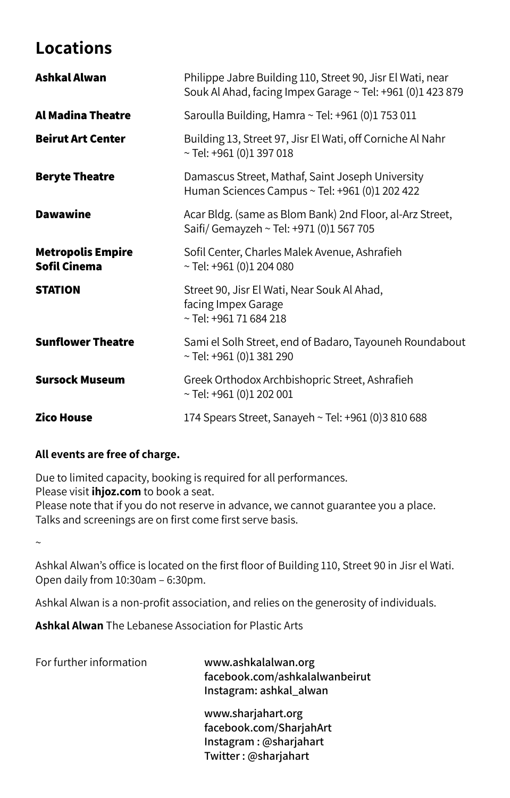## **Locations**

| Ashkal Alwan                             | Philippe Jabre Building 110, Street 90, Jisr El Wati, near<br>Souk Al Ahad, facing Impex Garage ~ Tel: +961 (0)1 423 879 |
|------------------------------------------|--------------------------------------------------------------------------------------------------------------------------|
| <b>Al Madina Theatre</b>                 | Saroulla Building, Hamra ~ Tel: +961 (0)1 753 011                                                                        |
| <b>Beirut Art Center</b>                 | Building 13, Street 97, Jisr El Wati, off Corniche Al Nahr<br>$~\sim$ Tel: +961 (0)1 397 018                             |
| <b>Beryte Theatre</b>                    | Damascus Street, Mathaf, Saint Joseph University<br>Human Sciences Campus ~ Tel: +961 (0)1 202 422                       |
| <b>Dawawine</b>                          | Acar Bldg. (same as Blom Bank) 2nd Floor, al-Arz Street,<br>Saifi/ Gemayzeh ~ Tel: +971 (0)1 567 705                     |
| <b>Metropolis Empire</b><br>Sofil Cinema | Sofil Center, Charles Malek Avenue, Ashrafieh<br>$\sim$ Tel: +961 (0)1 204 080                                           |
| <b>STATION</b>                           | Street 90, Jisr El Wati, Near Souk Al Ahad,<br>facing Impex Garage<br>$\sim$ Tel: +961 71 684 218                        |
| <b>Sunflower Theatre</b>                 | Sami el Solh Street, end of Badaro, Tayouneh Roundabout<br>$\sim$ Tel: +961 (0)1 381 290                                 |
| <b>Sursock Museum</b>                    | Greek Orthodox Archbishopric Street, Ashrafieh<br>$\sim$ Tel: +961 (0)1 202 001                                          |
| <b>Zico House</b>                        | 174 Spears Street, Sanayeh ~ Tel: +961 (0)3 810 688                                                                      |

#### **All events are free of charge.**

Due to limited capacity, booking is required for all performances. Please visit **ihjoz.com** to book a seat.

Please note that if you do not reserve in advance, we cannot guarantee you a place. Talks and screenings are on first come first serve basis.

~

Ashkal Alwan's office is located on the first floor of Building 110, Street 90 in Jisr el Wati. Open daily from 10:30am – 6:30pm.

Ashkal Alwan is a non-profit association, and relies on the generosity of individuals.

**Ashkal Alwan** The Lebanese Association for Plastic Arts

For further information **www.ashkalalwan.org**

**facebook.com/ashkalalwanbeirut Instagram: ashkal\_alwan**

**www.sharjahart.org facebook.com/SharjahArt Instagram : @sharjahart Twitter : @sharjahart**